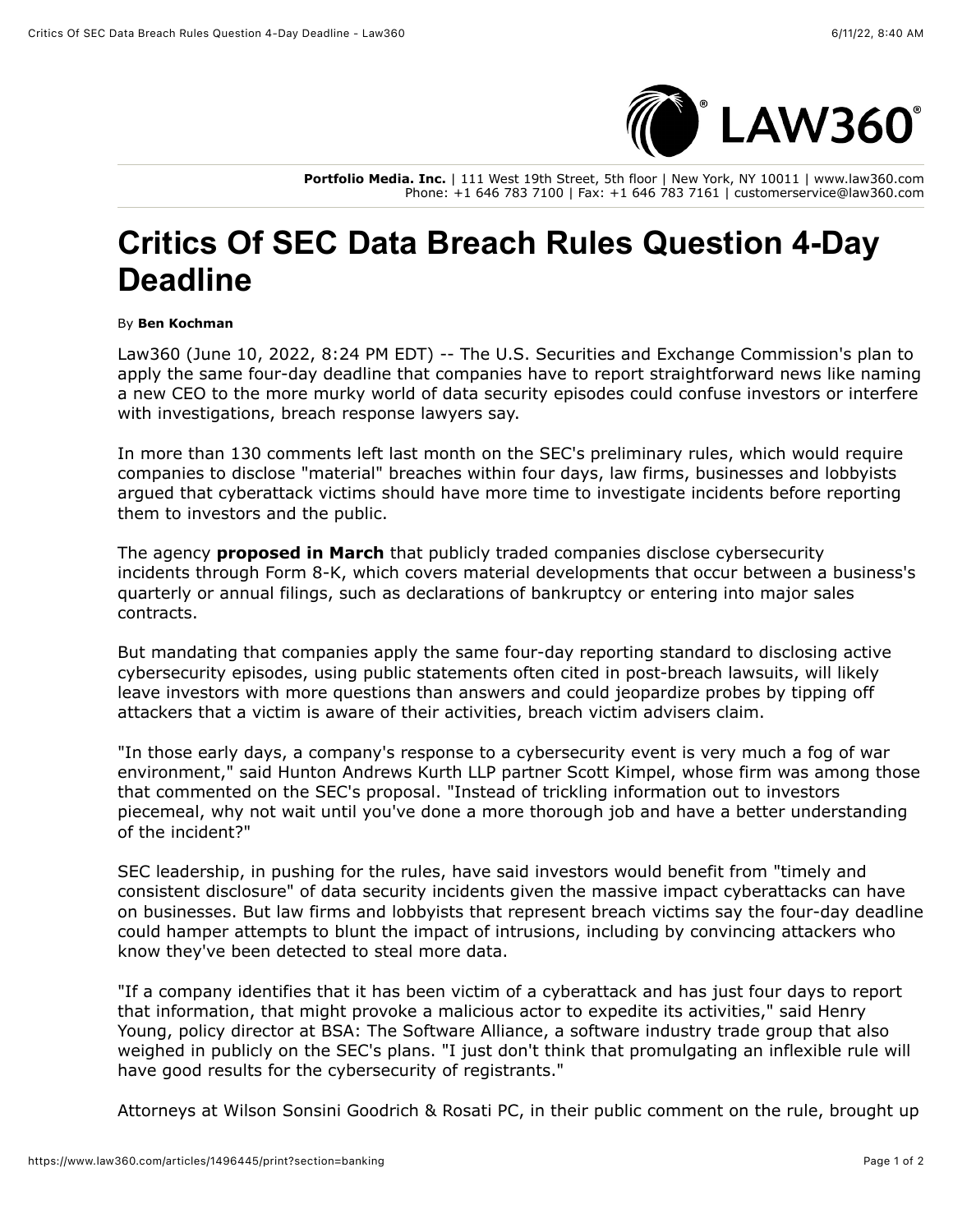

**Portfolio Media. Inc.** | 111 West 19th Street, 5th floor | New York, NY 10011 | www.law360.com Phone: +1 646 783 7100 | Fax: +1 646 783 7161 | customerservice@law360.com

## **Critics Of SEC Data Breach Rules Question 4-Day Deadline**

## By **Ben Kochman**

Law360 (June 10, 2022, 8:24 PM EDT) -- The [U.S. Securities and Exchange Commission](https://www.law360.com/agencies/u-s-securities-and-exchange-commission)'s plan to apply the same four-day deadline that companies have to report straightforward news like naming a new CEO to the more murky world of data security episodes could confuse investors or interfere with investigations, breach response lawyers say.

In more than 130 comments left last month on the SEC's preliminary rules, which would require companies to disclose "material" breaches within four days, law firms, businesses and lobbyists argued that cyberattack victims should have more time to investigate incidents before reporting them to investors and the public.

The agency **[proposed in March](https://www.law360.com/articles/1472113/sec-wants-companies-to-beef-up-cybersecurity-disclosures)** that publicly traded companies disclose cybersecurity incidents through Form 8-K, which covers material developments that occur between a business's quarterly or annual filings, such as declarations of bankruptcy or entering into major sales contracts.

But mandating that companies apply the same four-day reporting standard to disclosing active cybersecurity episodes, using public statements often cited in post-breach lawsuits, will likely leave investors with more questions than answers and could jeopardize probes by tipping off attackers that a victim is aware of their activities, breach victim advisers claim.

"In those early days, a company's response to a cybersecurity event is very much a fog of war environment," said [Hunton Andrews Kurth LLP](https://www.law360.com/firms/hunton-andrews) partner Scott Kimpel, whose firm was among those that commented on the SEC's proposal. "Instead of trickling information out to investors piecemeal, why not wait until you've done a more thorough job and have a better understanding of the incident?"

SEC leadership, in pushing for the rules, have said investors would benefit from "timely and consistent disclosure" of data security incidents given the massive impact cyberattacks can have on businesses. But law firms and lobbyists that represent breach victims say the four-day deadline could hamper attempts to blunt the impact of intrusions, including by convincing attackers who know they've been detected to steal more data.

"If a company identifies that it has been victim of a cyberattack and has just four days to report that information, that might provoke a malicious actor to expedite its activities," said Henry Young, policy director at BSA: The Software Alliance, a software industry trade group that also weighed in publicly on the SEC's plans. "I just don't think that promulgating an inflexible rule will have good results for the cybersecurity of registrants."

Attorneys at [Wilson Sonsini Goodrich & Rosati PC](https://www.law360.com/firms/wilson-sonsini), in their public comment on the rule, brought up